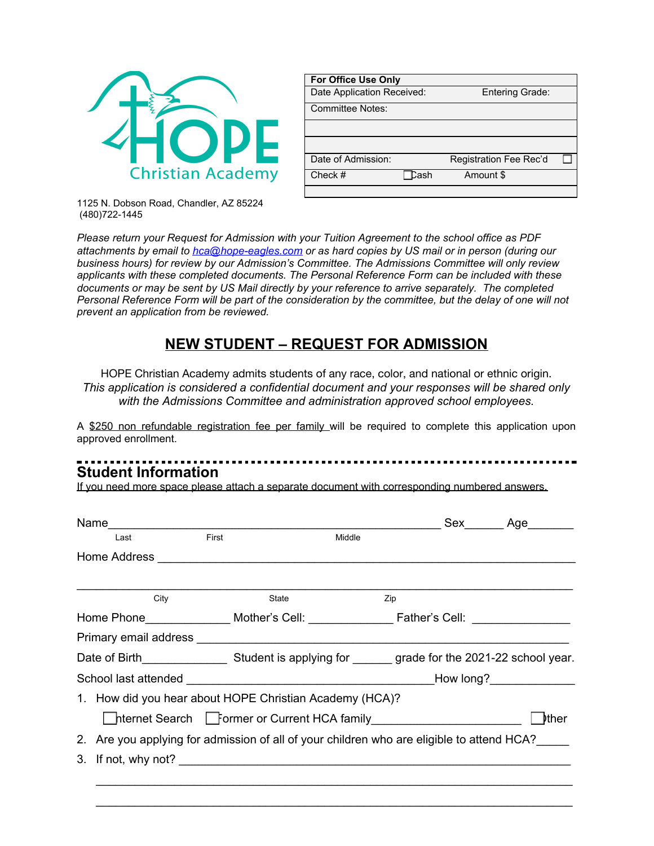

| <b>For Office Use Only</b> |      |                        |  |
|----------------------------|------|------------------------|--|
| Date Application Received: |      | <b>Entering Grade:</b> |  |
| Committee Notes:           |      |                        |  |
|                            |      |                        |  |
|                            |      |                        |  |
| Date of Admission:         |      | Registration Fee Rec'd |  |
| Check $#$                  | Tash | Amount \$              |  |
|                            |      |                        |  |

1125 N. Dobson Road, Chandler, AZ 85224 (480)722-1445

*Please return your Request for Admission with your Tuition Agreement to the school office as PDF attachments by email to [hca@hope-eagles.com](mailto:hca@hope-eagles.com) or as hard copies by US mail or in person (during our business hours) for review by our Admission's Committee. The Admissions Committee will only review applicants with these completed documents. The Personal Reference Form can be included with these documents or may be sent by US Mail directly by your reference to arrive separately. The completed* Personal Reference Form will be part of the consideration by the committee, but the delay of one will not *prevent an application from be reviewed.*

## **NEW STUDENT – REQUEST FOR ADMISSION**

HOPE Christian Academy admits students of any race, color, and national or ethnic origin. *This application is considered a confidential document and your responses will be shared only with the Admissions Committee and administration approved school employees.*

A \$250 non refundable registration fee per family will be required to complete this application upon approved enrollment.

## **Student Information**

If you need more space please attach a separate document with corresponding numbered answers.

|      |       |        |                                                         | Sex________Age________                                                                                                                      |
|------|-------|--------|---------------------------------------------------------|---------------------------------------------------------------------------------------------------------------------------------------------|
| Last | First | Middle |                                                         |                                                                                                                                             |
|      |       |        |                                                         |                                                                                                                                             |
|      |       |        |                                                         |                                                                                                                                             |
| City | State | Zip    |                                                         |                                                                                                                                             |
|      |       |        |                                                         |                                                                                                                                             |
|      |       |        |                                                         |                                                                                                                                             |
|      |       |        |                                                         |                                                                                                                                             |
|      |       |        |                                                         |                                                                                                                                             |
|      |       |        |                                                         |                                                                                                                                             |
|      |       |        |                                                         | l Þther                                                                                                                                     |
|      |       |        |                                                         |                                                                                                                                             |
|      |       |        |                                                         |                                                                                                                                             |
|      |       |        |                                                         |                                                                                                                                             |
|      |       | Name   | 1. How did you hear about HOPE Christian Academy (HCA)? | ■hternet Search ■ Former or Current HCA family<br>2. Are you applying for admission of all of your children who are eligible to attend HCA? |

\_\_\_\_\_\_\_\_\_\_\_\_\_\_\_\_\_\_\_\_\_\_\_\_\_\_\_\_\_\_\_\_\_\_\_\_\_\_\_\_\_\_\_\_\_\_\_\_\_\_\_\_\_\_\_\_\_\_\_\_\_\_\_\_\_\_\_\_\_\_\_\_\_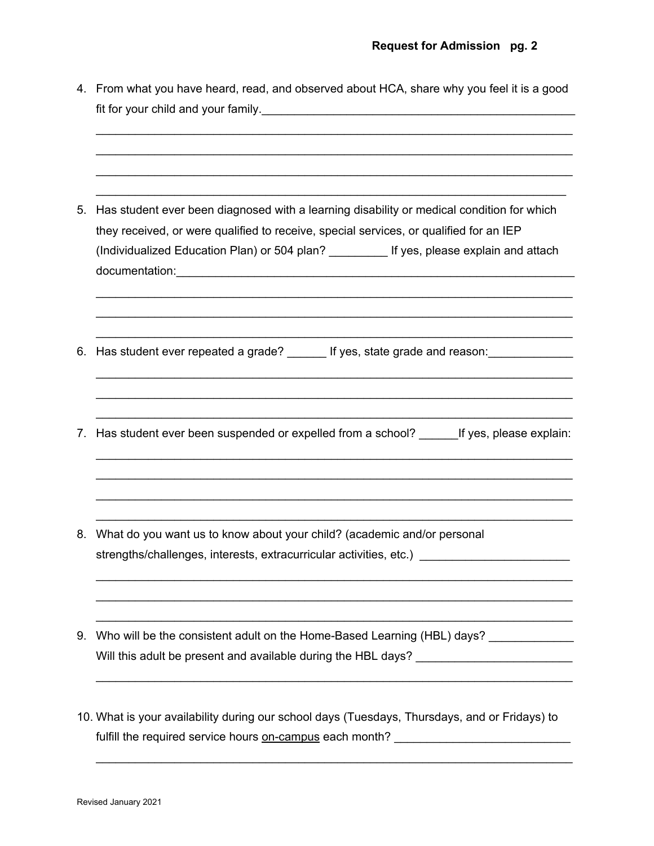|    | 4. From what you have heard, read, and observed about HCA, share why you feel it is a good    |  |  |  |  |
|----|-----------------------------------------------------------------------------------------------|--|--|--|--|
|    |                                                                                               |  |  |  |  |
|    |                                                                                               |  |  |  |  |
| 5. | Has student ever been diagnosed with a learning disability or medical condition for which     |  |  |  |  |
|    | they received, or were qualified to receive, special services, or qualified for an IEP        |  |  |  |  |
|    | (Individualized Education Plan) or 504 plan? ___________ If yes, please explain and attach    |  |  |  |  |
|    |                                                                                               |  |  |  |  |
|    | 6. Has student ever repeated a grade? _______ If yes, state grade and reason: _______________ |  |  |  |  |
| 7. | Has student ever been suspended or expelled from a school? If yes, please explain:            |  |  |  |  |
| 8. | What do you want us to know about your child? (academic and/or personal                       |  |  |  |  |
|    | strengths/challenges, interests, extracurricular activities, etc.)                            |  |  |  |  |
| 9. | Who will be the consistent adult on the Home-Based Learning (HBL) days? ______________        |  |  |  |  |
|    | Will this adult be present and available during the HBL days? _________________________       |  |  |  |  |
|    | 10. What is your availability during our school days (Tuesdays, Thursdays, and or Fridays) to |  |  |  |  |
|    | fulfill the required service hours on-campus each month? _______________________              |  |  |  |  |
|    |                                                                                               |  |  |  |  |

\_\_\_\_\_\_\_\_\_\_\_\_\_\_\_\_\_\_\_\_\_\_\_\_\_\_\_\_\_\_\_\_\_\_\_\_\_\_\_\_\_\_\_\_\_\_\_\_\_\_\_\_\_\_\_\_\_\_\_\_\_\_\_\_\_\_\_\_\_\_\_\_\_